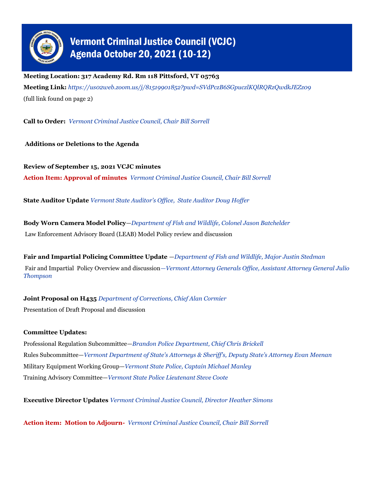

## Vermont Criminal Justice Council (VCJC) Agenda October 20, 2021 (10-12)

**Meeting Location: 317 Academy Rd. Rm 118 Pittsford, VT 05763**

**Meeting Link:** *https://us02web.zoom.us/j/81519901852?pwd=SVdPczB6SGpuczlKQlRQRzQwdkJEZz09* (full link found on page 2)

**Call to Order:** *Vermont Criminal Justice Council, Chair Bill Sorrell*

**Additions or Deletions to the Agenda**

**Review of September 15, 2021 VCJC minutes Action Item: Approval of minutes** *Vermont Criminal Justice Council, Chair Bill Sorrell*

**State Auditor Update** *Vermont State Auditor's Office, State Auditor Doug Hoffer*

**Body Worn Camera Model Policy**—*Department of Fish and Wildlife, Colonel Jason Batchelder* Law Enforcement Advisory Board (LEAB) Model Policy review and discussion

**Fair and Impartial Policing Committee Update** —*Department of Fish and Wildlife, Major Justin Stedman*  Fair and Impartial Policy Overview and discussion*—Vermont Attorney Generals Office, Assistant Attorney General Julio Thompson*

**Joint Proposal on H435** *Department of Corrections, Chief Alan Cormier*

Presentation of Draft Proposal and discussion

## **Committee Updates:**

Professional Regulation Subcommittee—*Brandon Police Department, Chief Chris Brickell* Rules Subcommittee—*Vermont Department of State's Attorneys & Sheriff's, Deputy State's Attorney Evan Meenan* Military Equipment Working Group—*Vermont State Police, Captain Michael Manley*  Training Advisory Committee—*Vermont State Police Lieutenant Steve Coote* 

**Executive Director Updates** *Vermont Criminal Justice Council, Director Heather Simons*

**Action item: Motion to Adjourn-** *Vermont Criminal Justice Council, Chair Bill Sorrell*